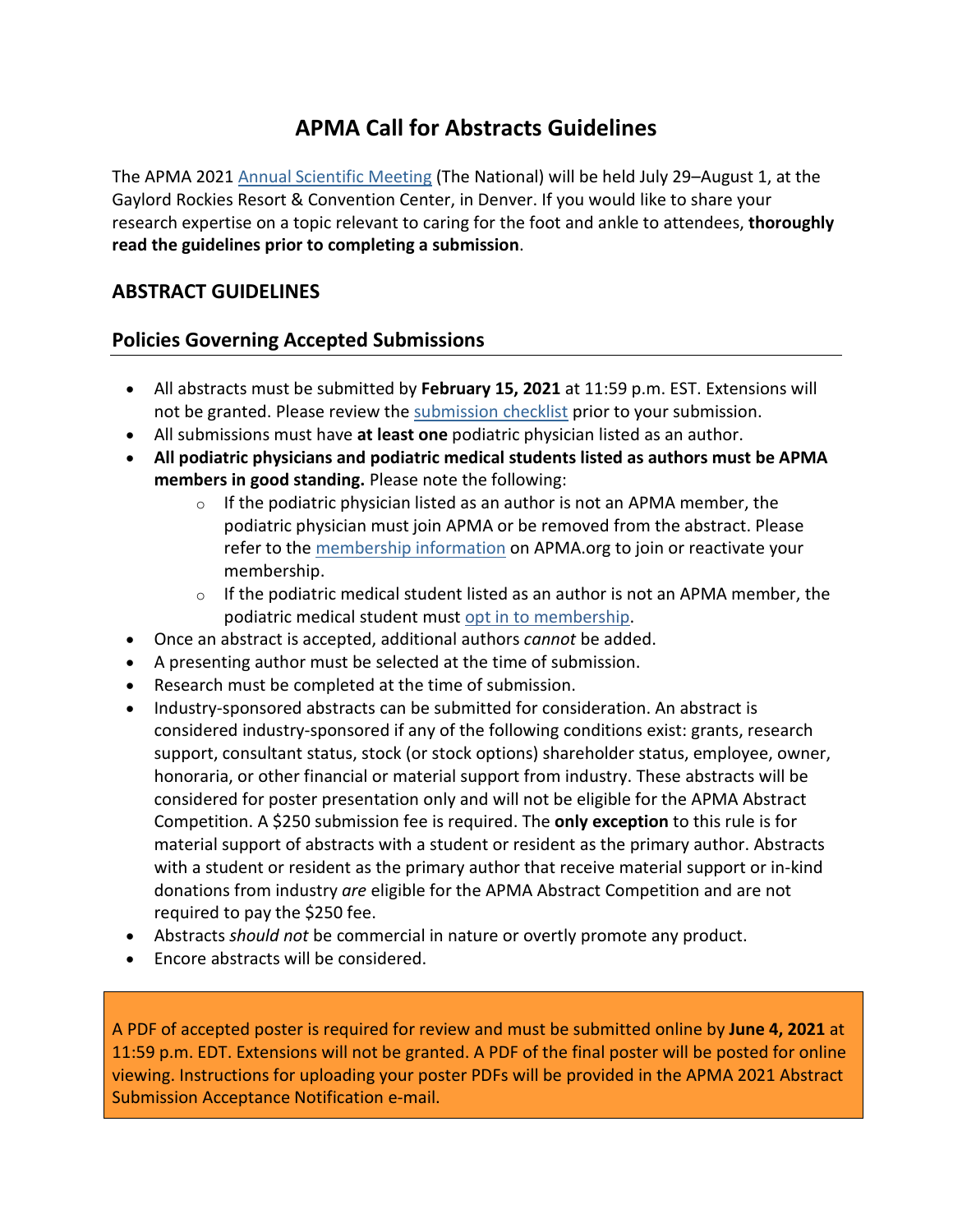# **APMA Call for Abstracts Guidelines**

The APMA 2021 [Annual Scientific Meeting](https://www.apma.org/Events/TheNational.cfm?navItemNumber=24398) (The National) will be held July 29–August 1, at the Gaylord Rockies Resort & Convention Center, in Denver. If you would like to share your research expertise on a topic relevant to caring for the foot and ankle to attendees, **thoroughly read the guidelines prior to completing a submission**.

# **ABSTRACT GUIDELINES**

# **Policies Governing Accepted Submissions**

- All abstracts must be submitted by **February 15, 2021** at 11:59 p.m. EST. Extensions will not be granted. Please review the [submission checklist](http://www.apma.org/files/Submission%20Checklist%202021.pdf) prior to your submission.
- All submissions must have **at least one** podiatric physician listed as an author.
- **All podiatric physicians and podiatric medical students listed as authors must be APMA members in good standing.** Please note the following:
	- $\circ$  If the podiatric physician listed as an author is not an APMA member, the podiatric physician must join APMA or be removed from the abstract. Please refer to the [membership information](https://www.apma.org/Membership/JoinAPMA.cfm?ItemNumber=37529&navItemNumber=24274) on APMA.org to join or reactivate your membership.
	- $\circ$  If the podiatric medical student listed as an author is not an APMA member, the podiatric medical student must opt in [to membership.](http://www.apma.org/files/FileDownloads/StudentMembershipOptInForm.pdf)
- Once an abstract is accepted, additional authors *cannot* be added.
- A presenting author must be selected at the time of submission.
- Research must be completed at the time of submission.
- Industry-sponsored abstracts can be submitted for consideration. An abstract is considered industry-sponsored if any of the following conditions exist: grants, research support, consultant status, stock (or stock options) shareholder status, employee, owner, honoraria, or other financial or material support from industry. These abstracts will be considered for poster presentation only and will not be eligible for the APMA Abstract Competition. A \$250 submission fee is required. The **only exception** to this rule is for material support of abstracts with a student or resident as the primary author. Abstracts with a student or resident as the primary author that receive material support or in-kind donations from industry *are* eligible for the APMA Abstract Competition and are not required to pay the \$250 fee.
- Abstracts *should not* be commercial in nature or overtly promote any product.
- Encore abstracts will be considered.

A PDF of accepted poster is required for review and must be submitted online by **June 4, 2021** at 11:59 p.m. EDT. Extensions will not be granted. A PDF of the final poster will be posted for online viewing. Instructions for uploading your poster PDFs will be provided in the APMA 2021 Abstract Submission Acceptance Notification e-mail.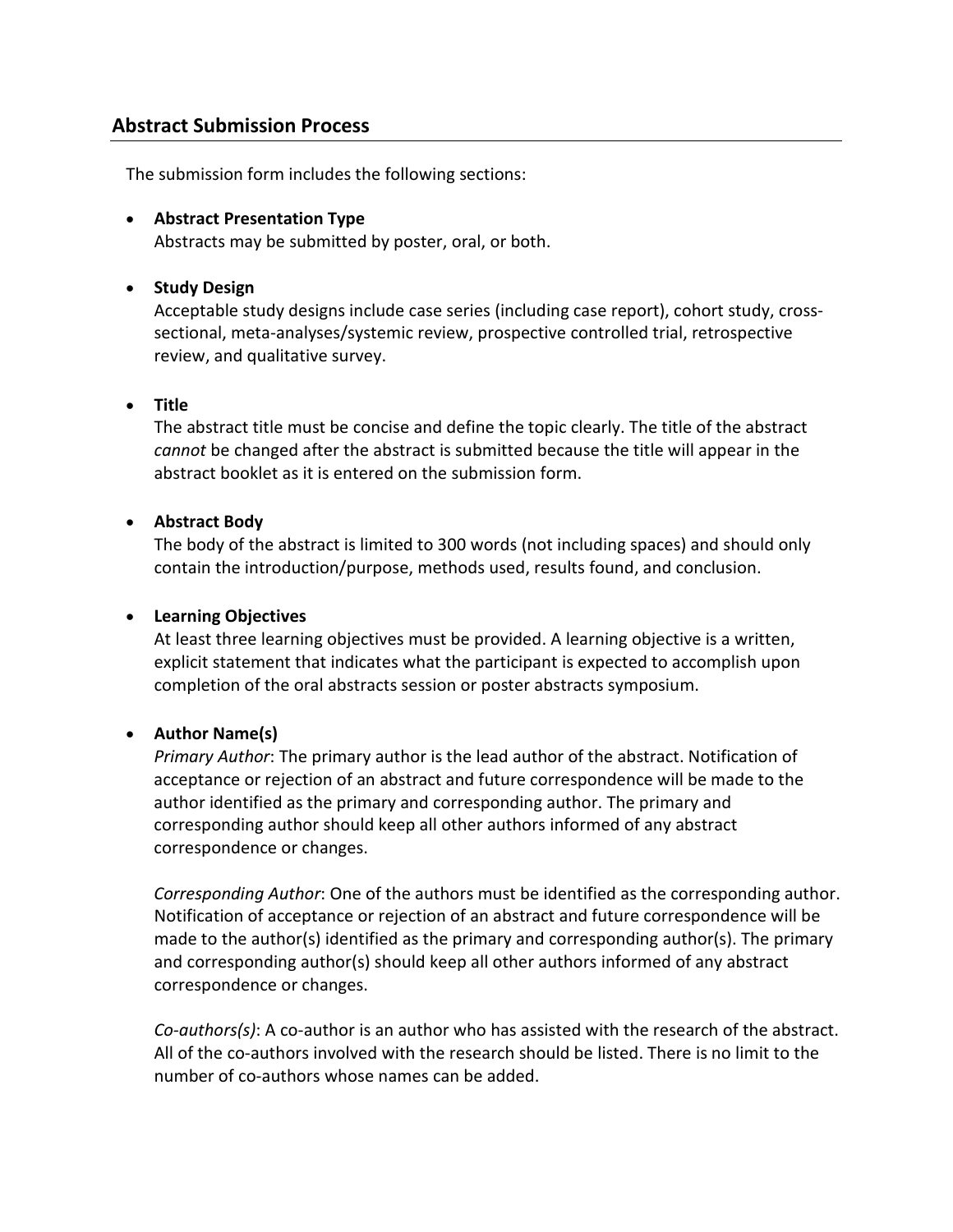## **Abstract Submission Process**

The submission form includes the following sections:

• **Abstract Presentation Type** Abstracts may be submitted by poster, oral, or both.

#### • **Study Design**

Acceptable study designs include case series (including case report), cohort study, crosssectional, meta-analyses/systemic review, prospective controlled trial, retrospective review, and qualitative survey.

#### • **Title**

The abstract title must be concise and define the topic clearly. The title of the abstract *cannot* be changed after the abstract is submitted because the title will appear in the abstract booklet as it is entered on the submission form.

#### • **Abstract Body**

The body of the abstract is limited to 300 words (not including spaces) and should only contain the introduction/purpose, methods used, results found, and conclusion.

#### • **Learning Objectives**

At least three learning objectives must be provided. A learning objective is a written, explicit statement that indicates what the participant is expected to accomplish upon completion of the oral abstracts session or poster abstracts symposium.

#### • **Author Name(s)**

*Primary Author*: The primary author is the lead author of the abstract. Notification of acceptance or rejection of an abstract and future correspondence will be made to the author identified as the primary and corresponding author. The primary and corresponding author should keep all other authors informed of any abstract correspondence or changes.

*Corresponding Author*: One of the authors must be identified as the corresponding author. Notification of acceptance or rejection of an abstract and future correspondence will be made to the author(s) identified as the primary and corresponding author(s). The primary and corresponding author(s) should keep all other authors informed of any abstract correspondence or changes.

*Co-authors(s)*: A co-author is an author who has assisted with the research of the abstract. All of the co-authors involved with the research should be listed. There is no limit to the number of co-authors whose names can be added.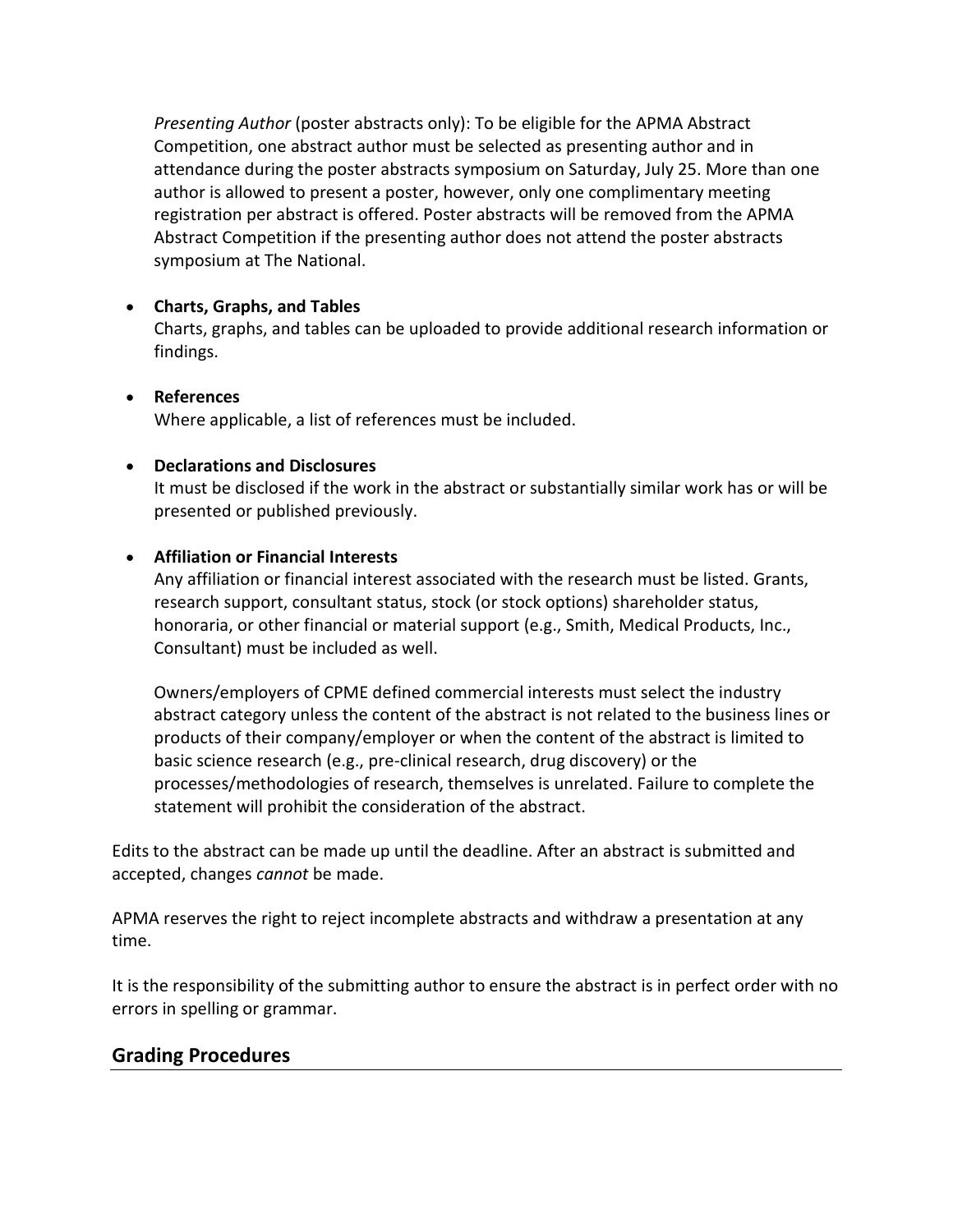*Presenting Author* (poster abstracts only): To be eligible for the APMA Abstract Competition, one abstract author must be selected as presenting author and in attendance during the poster abstracts symposium on Saturday, July 25. More than one author is allowed to present a poster, however, only one complimentary meeting registration per abstract is offered. Poster abstracts will be removed from the APMA Abstract Competition if the presenting author does not attend the poster abstracts symposium at The National.

### • **Charts, Graphs, and Tables**

Charts, graphs, and tables can be uploaded to provide additional research information or findings.

### • **References** Where applicable, a list of references must be included.

#### • **Declarations and Disclosures**

It must be disclosed if the work in the abstract or substantially similar work has or will be presented or published previously.

### • **Affiliation or Financial Interests**

Any affiliation or financial interest associated with the research must be listed. Grants, research support, consultant status, stock (or stock options) shareholder status, honoraria, or other financial or material support (e.g., Smith, Medical Products, Inc., Consultant) must be included as well.

Owners/employers of CPME defined commercial interests must select the industry abstract category unless the content of the abstract is not related to the business lines or products of their company/employer or when the content of the abstract is limited to basic science research (e.g., pre-clinical research, drug discovery) or the processes/methodologies of research, themselves is unrelated. Failure to complete the statement will prohibit the consideration of the abstract.

Edits to the abstract can be made up until the deadline. After an abstract is submitted and accepted, changes *cannot* be made.

APMA reserves the right to reject incomplete abstracts and withdraw a presentation at any time.

It is the responsibility of the submitting author to ensure the abstract is in perfect order with no errors in spelling or grammar.

## **Grading Procedures**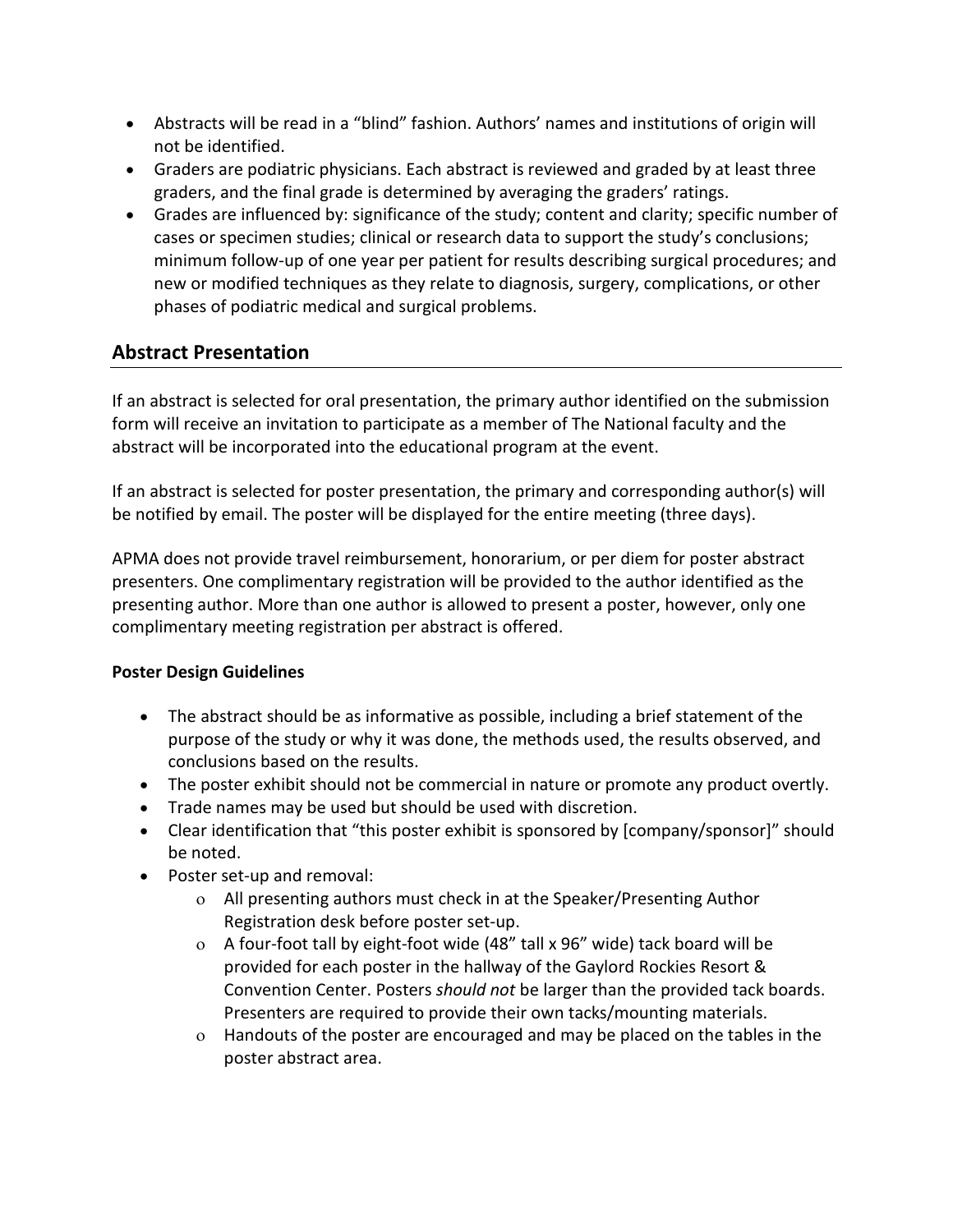- Abstracts will be read in a "blind" fashion. Authors' names and institutions of origin will not be identified.
- Graders are podiatric physicians. Each abstract is reviewed and graded by at least three graders, and the final grade is determined by averaging the graders' ratings.
- Grades are influenced by: significance of the study; content and clarity; specific number of cases or specimen studies; clinical or research data to support the study's conclusions; minimum follow-up of one year per patient for results describing surgical procedures; and new or modified techniques as they relate to diagnosis, surgery, complications, or other phases of podiatric medical and surgical problems.

# **Abstract Presentation**

If an abstract is selected for oral presentation, the primary author identified on the submission form will receive an invitation to participate as a member of The National faculty and the abstract will be incorporated into the educational program at the event.

If an abstract is selected for poster presentation, the primary and corresponding author(s) will be notified by email. The poster will be displayed for the entire meeting (three days).

APMA does not provide travel reimbursement, honorarium, or per diem for poster abstract presenters. One complimentary registration will be provided to the author identified as the presenting author. More than one author is allowed to present a poster, however, only one complimentary meeting registration per abstract is offered.

#### **Poster Design Guidelines**

- The abstract should be as informative as possible, including a brief statement of the purpose of the study or why it was done, the methods used, the results observed, and conclusions based on the results.
- The poster exhibit should not be commercial in nature or promote any product overtly.
- Trade names may be used but should be used with discretion.
- Clear identification that "this poster exhibit is sponsored by [company/sponsor]" should be noted.
- Poster set-up and removal:
	- ο All presenting authors must check in at the Speaker/Presenting Author Registration desk before poster set-up.
	- ο A four-foot tall by eight-foot wide (48" tall x 96" wide) tack board will be provided for each poster in the hallway of the Gaylord Rockies Resort & Convention Center. Posters *should not* be larger than the provided tack boards. Presenters are required to provide their own tacks/mounting materials.
	- ο Handouts of the poster are encouraged and may be placed on the tables in the poster abstract area.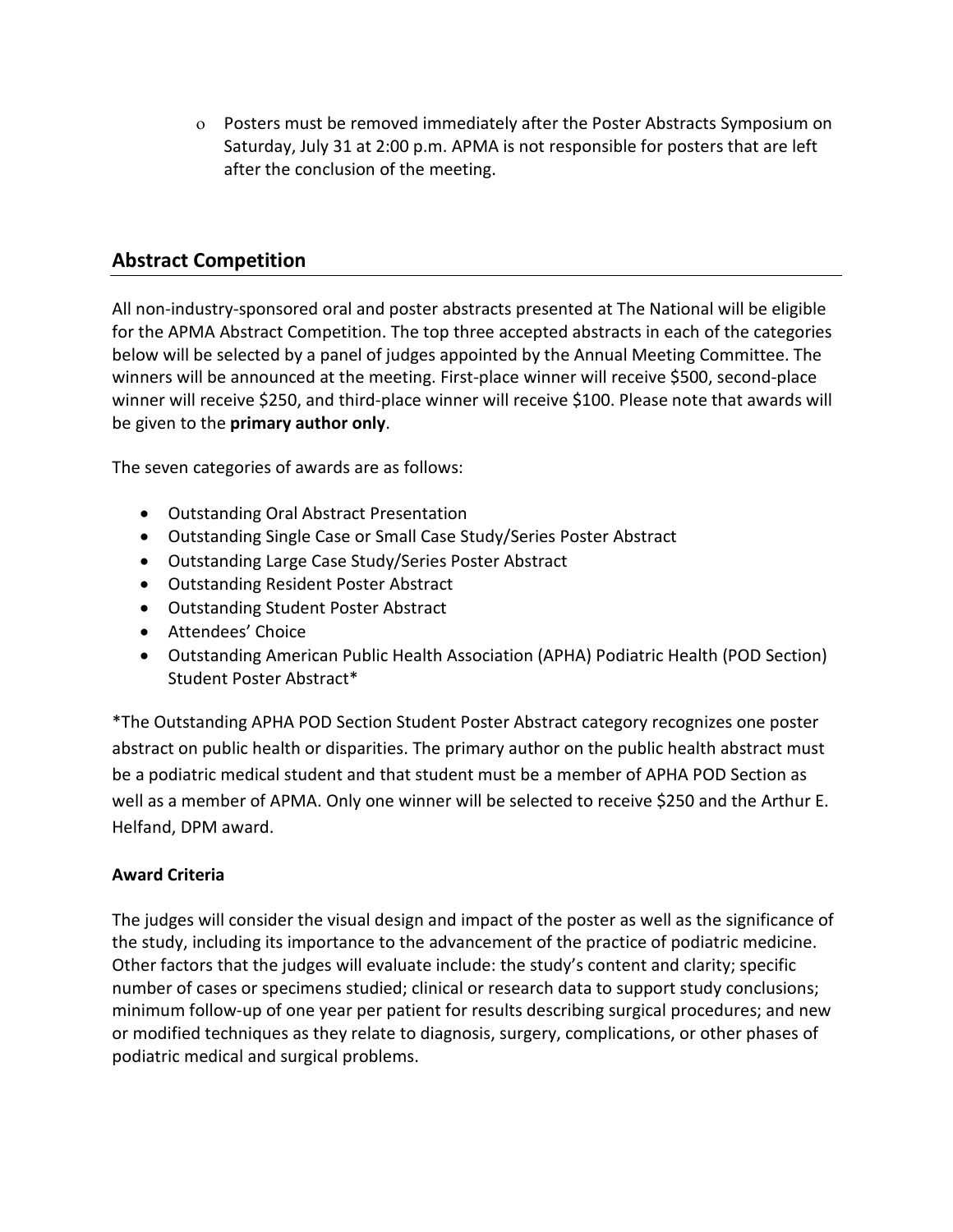ο Posters must be removed immediately after the Poster Abstracts Symposium on Saturday, July 31 at 2:00 p.m. APMA is not responsible for posters that are left after the conclusion of the meeting.

# **Abstract Competition**

All non-industry-sponsored oral and poster abstracts presented at The National will be eligible for the APMA Abstract Competition. The top three accepted abstracts in each of the categories below will be selected by a panel of judges appointed by the Annual Meeting Committee. The winners will be announced at the meeting. First-place winner will receive \$500, second-place winner will receive \$250, and third-place winner will receive \$100. Please note that awards will be given to the **primary author only**.

The seven categories of awards are as follows:

- Outstanding Oral Abstract Presentation
- Outstanding Single Case or Small Case Study/Series Poster Abstract
- Outstanding Large Case Study/Series Poster Abstract
- Outstanding Resident Poster Abstract
- Outstanding Student Poster Abstract
- Attendees' Choice
- Outstanding American Public Health Association (APHA) Podiatric Health (POD Section) Student Poster Abstract\*

\*The Outstanding APHA POD Section Student Poster Abstract category recognizes one poster abstract on public health or disparities. The primary author on the public health abstract must be a podiatric medical student and that student must be a member of APHA POD Section as well as a member of APMA. Only one winner will be selected to receive \$250 and the Arthur E. Helfand, DPM award.

#### **Award Criteria**

The judges will consider the visual design and impact of the poster as well as the significance of the study, including its importance to the advancement of the practice of podiatric medicine. Other factors that the judges will evaluate include: the study's content and clarity; specific number of cases or specimens studied; clinical or research data to support study conclusions; minimum follow-up of one year per patient for results describing surgical procedures; and new or modified techniques as they relate to diagnosis, surgery, complications, or other phases of podiatric medical and surgical problems.